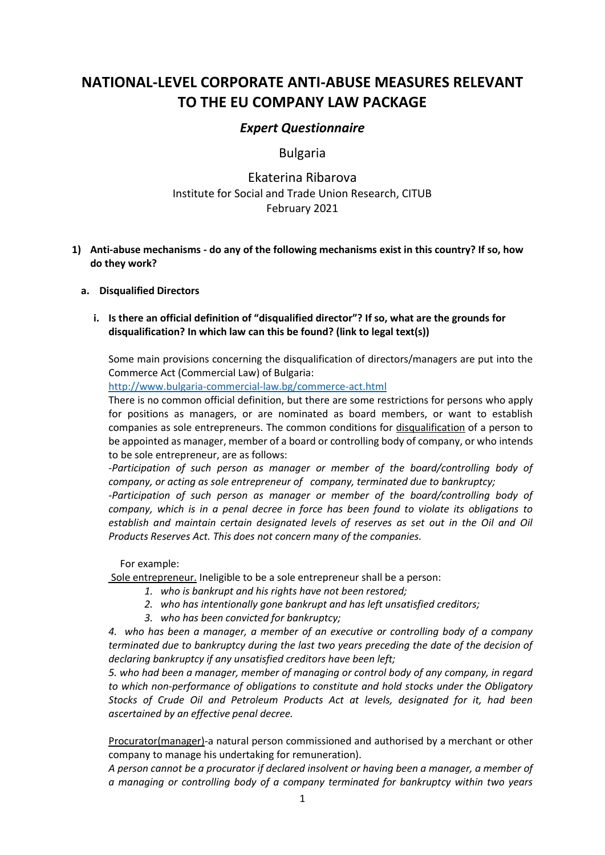# **NATIONAL-LEVEL CORPORATE ANTI-ABUSE MEASURES RELEVANT TO THE EU COMPANY LAW PACKAGE**

# *Expert Questionnaire*

# Bulgaria

# Ekaterina Ribarova Institute for Social and Trade Union Research, CITUB February 2021

**1) Anti-abuse mechanisms - do any of the following mechanisms exist in this country? If so, how do they work?**

# **a. Disqualified Directors**

# **i. Is there an official definition of "disqualified director"? If so, what are the grounds for disqualification? In which law can this be found? (link to legal text(s))**

Some main provisions concerning the disqualification of directors/managers are put into the Commerce Act (Commercial Law) of Bulgaria:

<http://www.bulgaria-commercial-law.bg/commerce-act.html>

There is no common official definition, but there are some restrictions for persons who apply for positions as managers, or are nominated as board members, or want to establish companies as sole entrepreneurs. The common conditions for disqualification of a person to be appointed as manager, member of a board or controlling body of company, or who intends to be sole entrepreneur, are as follows:

*-Рarticipation of such person as manager or member of the board/controlling body of company, or acting as sole entrepreneur of company, terminated due to bankruptcy;* 

*-Participation of such person as manager or member of the board/controlling body of company, which is in a penal decree in force has been found to violate its obligations to establish and maintain certain designated levels of reserves as set out in the Oil and Oil Products Reserves Act. This does not concern many of the companies.*

For example:

Sole entrepreneur. Ineligible to be a sole entrepreneur shall be a person:

- *1. who is bankrupt and his rights have not been restored;*
- *2. who has intentionally gone bankrupt and has left unsatisfied creditors;*
- *3. who has been convicted for bankruptcy;*

*4. who has been a manager, a member of an executive or controlling body of a company terminated due to bankruptcy during the last two years preceding the date of the decision of declaring bankruptcy if any unsatisfied creditors have been left;*

*5. who had been a manager, member of managing or control body of any company, in regard to which non-performance of obligations to constitute and hold stocks under the Obligatory Stocks of Crude Oil and Petroleum Products Act at levels, designated for it, had been ascertained by an effective penal decree.*

Procurator(manager)-a natural person commissioned and authorised by a merchant or other company to manage his undertaking for remuneration).

*A person cannot be a procurator if declared insolvent or having been a manager, a member of a managing or controlling body of a company terminated for bankruptcy within two years*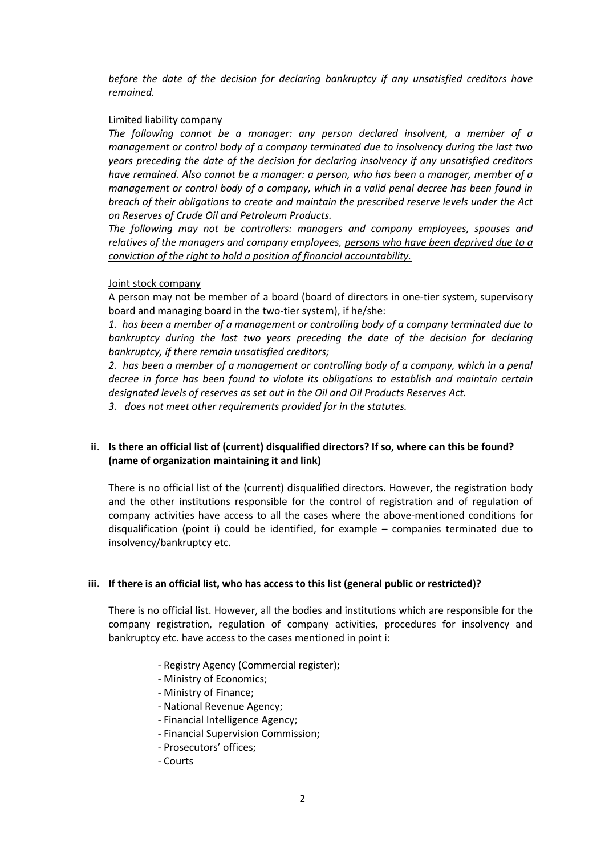*before the date of the decision for declaring bankruptcy if any unsatisfied creditors have remained.*

#### Limited liability company

*The following cannot be a manager: any person declared insolvent, a member of a management or control body of a company terminated due to insolvency during the last two years preceding the date of the decision for declaring insolvency if any unsatisfied creditors have remained. Also cannot be a manager: a person, who has been a manager, member of a management or control body of a company, which in a valid penal decree has been found in breach of their obligations to create and maintain the prescribed reserve levels under the Act on Reserves of Crude Oil and Petroleum Products.*

*The following may not be controllers: managers and company employees, spouses and relatives of the managers and company employees, persons who have been deprived due to a conviction of the right to hold a position of financial accountability.*

#### Joint stock company

A person may not be member of a board (board of directors in one-tier system, supervisory board and managing board in the two-tier system), if he/she:

*1. has been a member of a management or controlling body of a company terminated due to*  bankruptcy during the last two years preceding the date of the decision for declaring *bankruptcy, if there remain unsatisfied creditors;*

*2. has been a member of a management or controlling body of a company, which in a penal decree in force has been found to violate its obligations to establish and maintain certain designated levels of reserves as set out in the Oil and Oil Products Reserves Act.*

*3. does not meet other requirements provided for in the statutes.*

# **ii. Is there an official list of (current) disqualified directors? If so, where can this be found? (name of organization maintaining it and link)**

There is no official list of the (current) disqualified directors. However, the registration body and the other institutions responsible for the control of registration and of regulation of company activities have access to all the cases where the above-mentioned conditions for disqualification (point i) could be identified, for example – companies terminated due to insolvency/bankruptcy etc.

#### **iii. If there is an official list, who has access to this list (general public or restricted)?**

There is no official list. However, all the bodies and institutions which are responsible for the company registration, regulation of company activities, procedures for insolvency and bankruptcy etc. have access to the cases mentioned in point i:

- Registry Agency (Commercial register);
- Ministry of Economics;
- Ministry of Finance;
- National Revenue Agency;
- Financial Intelligence Agency;
- Financial Supervision Commission;
- Prosecutors' offices;
- Courts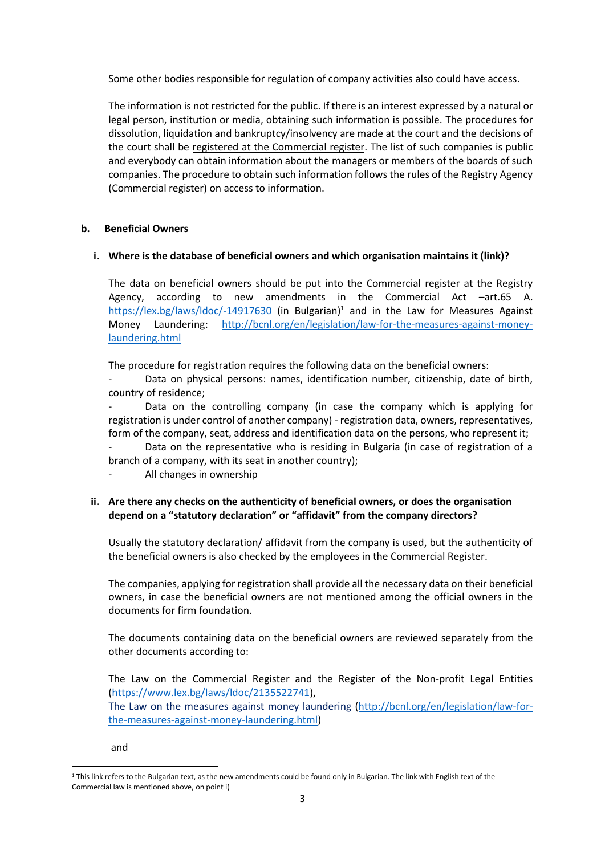Some other bodies responsible for regulation of company activities also could have access.

The information is not restricted for the public. If there is an interest expressed by a natural or legal person, institution or media, obtaining such information is possible. The procedures for dissolution, liquidation and bankruptcy/insolvency are made at the court and the decisions of the court shall be registered at the Commercial register. The list of such companies is public and everybody can obtain information about the managers or members of the boards of such companies. The procedure to obtain such information follows the rules of the Registry Agency (Commercial register) on access to information.

#### **b. Beneficial Owners**

# **i. Where is the database of beneficial owners and which organisation maintains it (link)?**

The data on beneficial owners should be put into the Commercial register at the Registry Agency, according to new amendments in the Commercial Act –art.65 A. <https://lex.bg/laws/ldoc/-14917630> (in Bulgarian)<sup>1</sup> and in the Law for Measures Against Money Laundering: [http://bcnl.org/en/legislation/law-for-the-measures-against-money](http://bcnl.org/en/legislation/law-for-the-measures-against-money-laundering.html)[laundering.html](http://bcnl.org/en/legislation/law-for-the-measures-against-money-laundering.html)

The procedure for registration requires the following data on the beneficial owners:

Data on physical persons: names, identification number, citizenship, date of birth, country of residence;

Data on the controlling company (in case the company which is applying for registration is under control of another company) - registration data, owners, representatives, form of the company, seat, address and identification data on the persons, who represent it;

- Data on the representative who is residing in Bulgaria (in case of registration of a branch of a company, with its seat in another country);
- All changes in ownership

# **ii. Are there any checks on the authenticity of beneficial owners, or does the organisation depend on a "statutory declaration" or "affidavit" from the company directors?**

Usually the statutory declaration/ affidavit from the company is used, but the authenticity of the beneficial owners is also checked by the employees in the Commercial Register.

The companies, applying for registration shall provide all the necessary data on their beneficial owners, in case the beneficial owners are not mentioned among the official owners in the documents for firm foundation.

The documents containing data on the beneficial owners are reviewed separately from the other documents according to:

The Law on the Commercial Register and the Register of the Non-profit Legal Entities [\(https://www.lex.bg/laws/ldoc/2135522741\)](https://www.lex.bg/laws/ldoc/2135522741),

The Law on the measures against money laundering [\(http://bcnl.org/en/legislation/law-for](http://bcnl.org/en/legislation/law-for-the-measures-against-money-laundering.html)[the-measures-against-money-laundering.html\)](http://bcnl.org/en/legislation/law-for-the-measures-against-money-laundering.html)

and

 $1$  This link refers to the Bulgarian text, as the new amendments could be found only in Bulgarian. The link with English text of the Commercial law is mentioned above, on point i)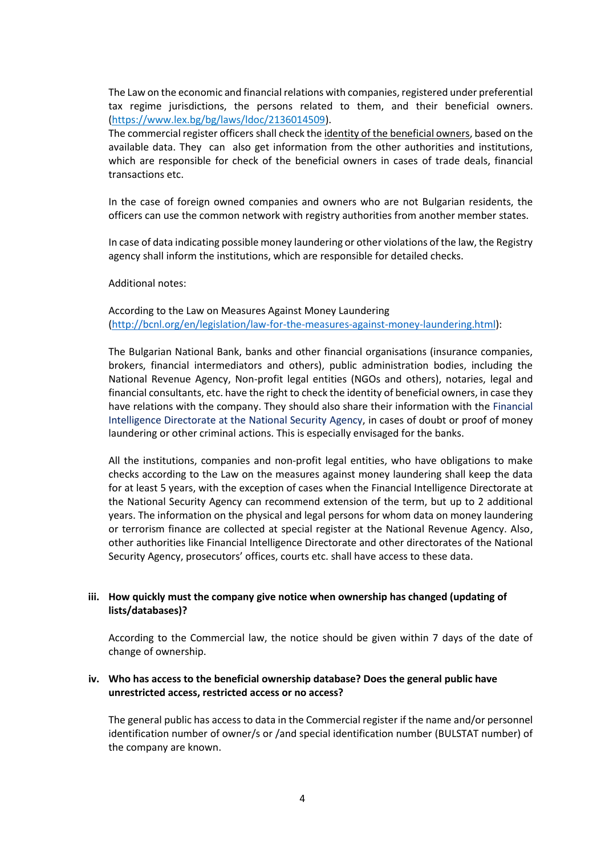The Law on the economic and financial relations with companies, registered under preferential tax regime jurisdictions, the persons related to them, and their beneficial owners. [\(https://www.lex.bg/bg/laws/ldoc/2136014509\)](https://www.lex.bg/bg/laws/ldoc/2136014509).

The commercial register officers shall check the identity of the beneficial owners, based on the available data. They can also get information from the other authorities and institutions, which are responsible for check of the beneficial owners in cases of trade deals, financial transactions etc.

In the case of foreign owned companies and owners who are not Bulgarian residents, the officers can use the common network with registry authorities from another member states.

In case of data indicating possible money laundering or other violations of the law, the Registry agency shall inform the institutions, which are responsible for detailed checks.

Additional notes:

According to the Law on Measures Against Money Laundering [\(http://bcnl.org/en/legislation/law-for-the-measures-against-money-laundering.html\)](http://bcnl.org/en/legislation/law-for-the-measures-against-money-laundering.html):

The Bulgarian National Bank, banks and other financial organisations (insurance companies, brokers, financial intermediators and others), public administration bodies, including the National Revenue Agency, Non-profit legal entities (NGOs and others), notaries, legal and financial consultants, etc. have the right to check the identity of beneficial owners, in case they have relations with the company. They should also share their information with the Financial Intelligence Directorate at the National Security Agency, in cases of doubt or proof of money laundering or other criminal actions. This is especially envisaged for the banks.

All the institutions, companies and non-profit legal entities, who have obligations to make checks according to the Law on the measures against money laundering shall keep the data for at least 5 years, with the exception of cases when the Financial Intelligence Directorate at the National Security Agency can recommend extension of the term, but up to 2 additional years. The information on the physical and legal persons for whom data on money laundering or terrorism finance are collected at special register at the National Revenue Agency. Also, other authorities like Financial Intelligence Directorate and other directorates of the National Security Agency, prosecutors' offices, courts etc. shall have access to these data.

# **iii. How quickly must the company give notice when ownership has changed (updating of lists/databases)?**

According to the Commercial law, the notice should be given within 7 days of the date of change of ownership.

#### **iv. Who has access to the beneficial ownership database? Does the general public have unrestricted access, restricted access or no access?**

The general public has access to data in the Commercial register if the name and/or personnel identification number of owner/s or /and special identification number (BULSTAT number) of the company are known.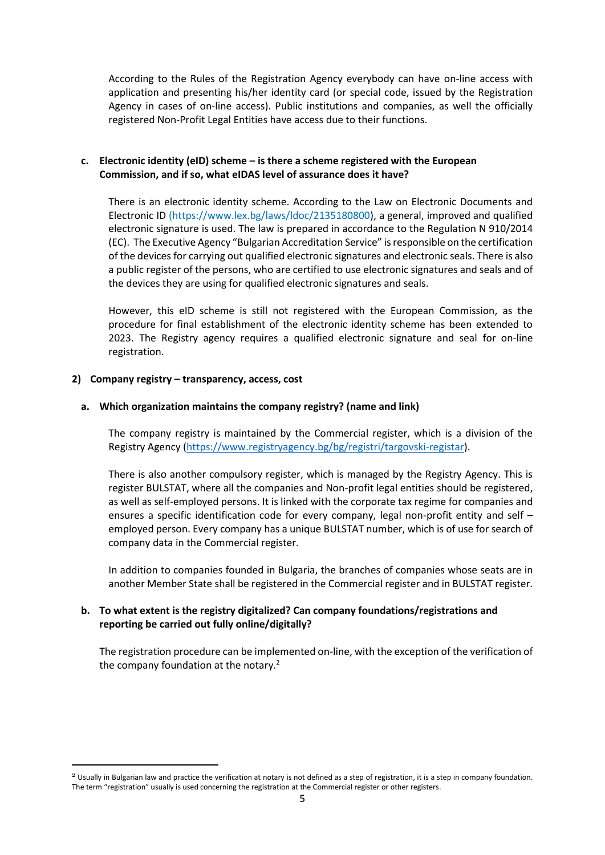According to the Rules of the Registration Agency everybody can have on-line access with application and presenting his/her identity card (or special code, issued by the Registration Agency in cases of on-line access). Public institutions and companies, as well the officially registered Non-Profit Legal Entities have access due to their functions.

# **c. Electronic identity (eID) scheme – is there a scheme registered with the European Commission, and if so, what eIDAS level of assurance does it have?**

There is an electronic identity scheme. According to the Law on Electronic Documents and Electronic ID (https://www.lex.bg/laws/ldoc/2135180800), a general, improved and qualified electronic signature is used. The law is prepared in accordance to the Regulation N 910/2014 (EC). The Executive Agency "Bulgarian Accreditation Service" is responsible on the certification of the devices for carrying out qualified electronic signatures and electronic seals. There is also a public register of the persons, who are certified to use electronic signatures and seals and of the devices they are using for qualified electronic signatures and seals.

However, this eID scheme is still not registered with the European Commission, as the procedure for final establishment of the electronic identity scheme has been extended to 2023. The Registry agency requires a qualified electronic signature and seal for on-line registration.

#### **2) Company registry – transparency, access, cost**

# **a. Which organization maintains the company registry? (name and link)**

The company registry is maintained by the Commercial register, which is a division of the Registry Agency [\(https://www.registryagency.bg/bg/registri/targovski-registar\)](https://www.registryagency.bg/bg/registri/targovski-registar).

There is also another compulsory register, which is managed by the Registry Agency. This is register BULSTAT, where all the companies and Non-profit legal entities should be registered, as well as self-employed persons. It is linked with the corporate tax regime for companies and ensures a specific identification code for every company, legal non-profit entity and self – employed person. Every company has a unique BULSTAT number, which is of use for search of company data in the Commercial register.

In addition to companies founded in Bulgaria, the branches of companies whose seats are in another Member State shall be registered in the Commercial register and in BULSTAT register.

# **b. To what extent is the registry digitalized? Can company foundations/registrations and reporting be carried out fully online/digitally?**

The registration procedure can be implemented on-line, with the exception of the verification of the company foundation at the notary.<sup>2</sup>

<sup>&</sup>lt;sup>2</sup> Usually in Bulgarian law and practice the verification at notary is not defined as a step of registration, it is a step in company foundation. The term "registration" usually is used concerning the registration at the Commercial register or other registers.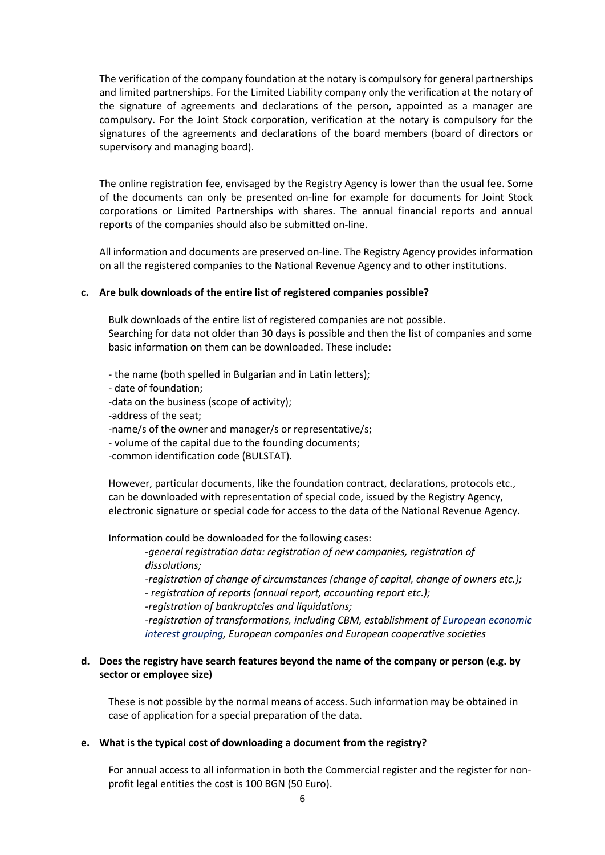The verification of the company foundation at the notary is compulsory for general partnerships and limited partnerships. For the Limited Liability company only the verification at the notary of the signature of agreements and declarations of the person, appointed as a manager are compulsory. For the Joint Stock corporation, verification at the notary is compulsory for the signatures of the agreements and declarations of the board members (board of directors or supervisory and managing board).

The online registration fee, envisaged by the Registry Agency is lower than the usual fee. Some of the documents can only be presented on-line for example for documents for Joint Stock corporations or Limited Partnerships with shares. The annual financial reports and annual reports of the companies should also be submitted on-line.

All information and documents are preserved on-line. The Registry Agency provides information on all the registered companies to the National Revenue Agency and to other institutions.

#### **c. Are bulk downloads of the entire list of registered companies possible?**

Bulk downloads of the entire list of registered companies are not possible. Searching for data not older than 30 days is possible and then the list of companies and some basic information on them can be downloaded. These include:

- the name (both spelled in Bulgarian and in Latin letters);

- date of foundation;

-data on the business (scope of activity);

-address of the seat;

-name/s of the owner and manager/s or representative/s;

- volume of the capital due to the founding documents;

-common identification code (BULSTAT).

However, particular documents, like the foundation contract, declarations, protocols etc., can be downloaded with representation of special code, issued by the Registry Agency, electronic signature or special code for access to the data of the National Revenue Agency.

Information could be downloaded for the following cases:

*-general registration data: registration of new companies, registration of dissolutions;*

*-registration of change of circumstances (change of capital, change of owners etc.); - registration of reports (annual report, accounting report etc.);*

*-registration of bankruptcies and liquidations;*

*-registration of transformations, including CBM, establishment of European economic interest grouping, European companies and European cooperative societies*

# **d. Does the registry have search features beyond the name of the company or person (e.g. by sector or employee size)**

These is not possible by the normal means of access. Such information may be obtained in case of application for a special preparation of the data.

#### **e. What is the typical cost of downloading a document from the registry?**

For annual access to all information in both the Commercial register and the register for nonprofit legal entities the cost is 100 BGN (50 Euro).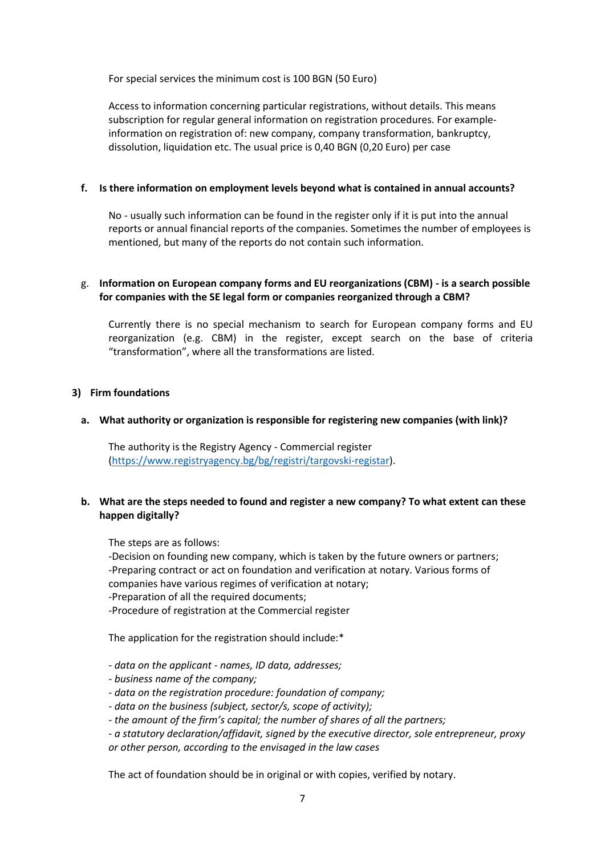For special services the minimum cost is 100 BGN (50 Euro)

Access to information concerning particular registrations, without details. This means subscription for regular general information on registration procedures. For exampleinformation on registration of: new company, company transformation, bankruptcy, dissolution, liquidation etc. The usual price is 0,40 BGN (0,20 Euro) per case

#### **f. Is there information on employment levels beyond what is contained in annual accounts?**

No - usually such information can be found in the register only if it is put into the annual reports or annual financial reports of the companies. Sometimes the number of employees is mentioned, but many of the reports do not contain such information.

# g. **Information on European company forms and EU reorganizations (CBM) - is a search possible for companies with the SE legal form or companies reorganized through a CBM?**

Currently there is no special mechanism to search for European company forms and EU reorganization (e.g. CBM) in the register, except search on the base of criteria "transformation", where all the transformations are listed.

# **3) Firm foundations**

# **a. What authority or organization is responsible for registering new companies (with link)?**

The authority is the Registry Agency - Commercial register [\(https://www.registryagency.bg/bg/registri/targovski-registar\)](https://www.registryagency.bg/bg/registri/targovski-registar).

# **b. What are the steps needed to found and register a new company? To what extent can these happen digitally?**

The steps are as follows:

-Decision on founding new company, which is taken by the future owners or partners; -Preparing contract or act on foundation and verification at notary. Various forms of companies have various regimes of verification at notary; -Preparation of all the required documents;

-Procedure of registration at the Commercial register

The application for the registration should include:\*

- *- data on the applicant - names, ID data, addresses;*
- *- business name of the company;*
- *- data on the registration procedure: foundation of company;*
- *- data on the business (subject, sector/s, scope of activity);*
- *- the amount of the firm's capital; the number of shares of all the partners;*
- *- a statutory declaration/affidavit, signed by the executive director, sole entrepreneur, proxy*

*or other person, according to the envisaged in the law cases* 

The act of foundation should be in original or with copies, verified by notary.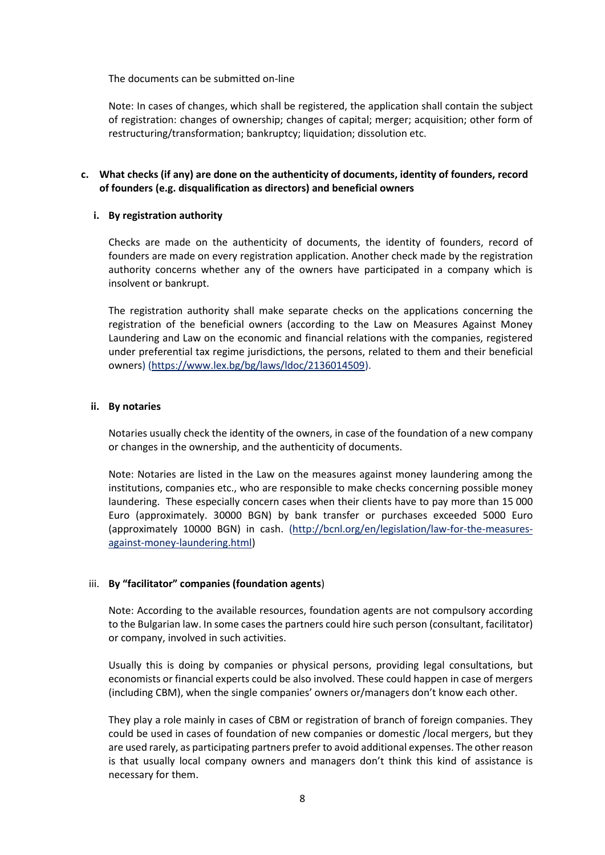The documents can be submitted on-line

Note: In cases of changes, which shall be registered, the application shall contain the subject of registration: changes of ownership; changes of capital; merger; acquisition; other form of restructuring/transformation; bankruptcy; liquidation; dissolution etc.

# **c. What checks (if any) are done on the authenticity of documents, identity of founders, record of founders (e.g. disqualification as directors) and beneficial owners**

#### **i. By registration authority**

Checks are made on the authenticity of documents, the identity of founders, record of founders are made on every registration application. Another check made by the registration authority concerns whether any of the owners have participated in a company which is insolvent or bankrupt.

The registration authority shall make separate checks on the applications concerning the registration of the beneficial owners (according to the Law on Measures Against Money Laundering and Law on the economic and financial relations with the companies, registered under preferential tax regime jurisdictions, the persons, related to them and their beneficial owners) [\(https://www.lex.bg/bg/laws/ldoc/2136014509\)](https://www.lex.bg/bg/laws/ldoc/2136014509).

#### **ii. By notaries**

Notaries usually check the identity of the owners, in case of the foundation of a new company or changes in the ownership, and the authenticity of documents.

Note: Notaries are listed in the Law on the measures against money laundering among the institutions, companies etc., who are responsible to make checks concerning possible money laundering. These especially concern cases when their clients have to pay more than 15 000 Euro (approximately. 30000 BGN) by bank transfer or purchases exceeded 5000 Euro (approximately 10000 BGN) in cash. [\(http://bcnl.org/en/legislation/law-for-the-measures](http://bcnl.org/en/legislation/law-for-the-measures-against-money-laundering.html)[against-money-laundering.html\)](http://bcnl.org/en/legislation/law-for-the-measures-against-money-laundering.html)

#### iii. **By "facilitator" companies (foundation agents**)

Note: According to the available resources, foundation agents are not compulsory according to the Bulgarian law. In some cases the partners could hire such person (consultant, facilitator) or company, involved in such activities.

Usually this is doing by companies or physical persons, providing legal consultations, but economists or financial experts could be also involved. These could happen in case of mergers (including CBM), when the single companies' owners or/managers don't know each other.

They play a role mainly in cases of CBM or registration of branch of foreign companies. They could be used in cases of foundation of new companies or domestic /local mergers, but they are used rarely, as participating partners prefer to avoid additional expenses. The other reason is that usually local company owners and managers don't think this kind of assistance is necessary for them.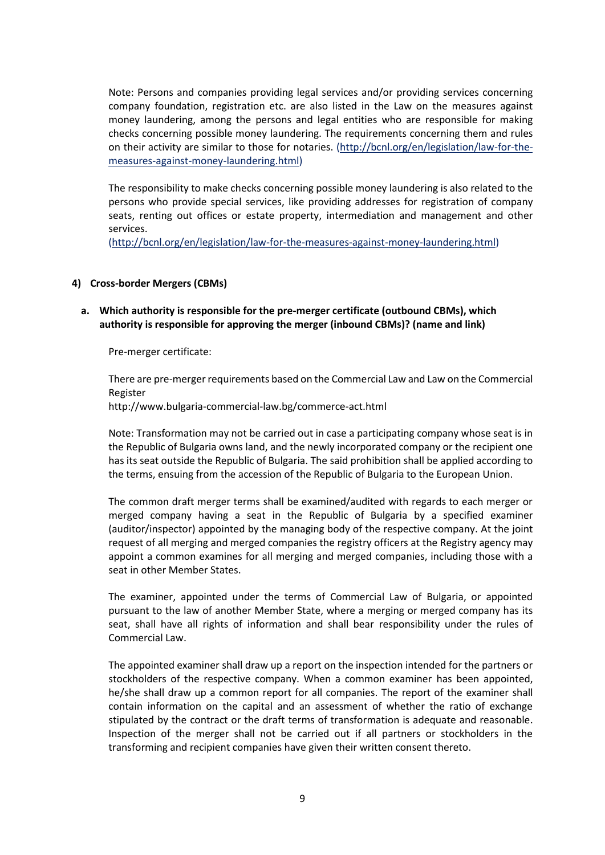Note: Persons and companies providing legal services and/or providing services concerning company foundation, registration etc. are also listed in the Law on the measures against money laundering, among the persons and legal entities who are responsible for making checks concerning possible money laundering. The requirements concerning them and rules on their activity are similar to those for notaries. [\(http://bcnl.org/en/legislation/law-for-the](http://bcnl.org/en/legislation/law-for-the-measures-against-money-laundering.html)[measures-against-money-laundering.html\)](http://bcnl.org/en/legislation/law-for-the-measures-against-money-laundering.html)

The responsibility to make checks concerning possible money laundering is also related to the persons who provide special services, like providing addresses for registration of company seats, renting out offices or estate property, intermediation and management and other services.

[\(http://bcnl.org/en/legislation/law-for-the-measures-against-money-laundering.html\)](http://bcnl.org/en/legislation/law-for-the-measures-against-money-laundering.html)

#### **4) Cross-border Mergers (CBMs)**

# **a. Which authority is responsible for the pre-merger certificate (outbound CBMs), which authority is responsible for approving the merger (inbound CBMs)? (name and link)**

Pre-merger certificate:

There are pre-merger requirements based on the Commercial Law and Law on the Commercial Register <http://www.bulgaria-commercial-law.bg/commerce-act.html>

Note: Transformation may not be carried out in case a participating company whose seat is in the Republic of Bulgaria owns land, and the newly incorporated company or the recipient one has its seat outside the Republic of Bulgaria. The said prohibition shall be applied according to the terms, ensuing from the accession of the Republic of Bulgaria to the European Union.

The common draft merger terms shall be examined/audited with regards to each merger or merged company having a seat in the Republic of Bulgaria by a specified examiner (auditor/inspector) appointed by the managing body of the respective company. At the joint request of all merging and merged companies the registry officers at the Registry agency may appoint a common examines for all merging and merged companies, including those with a seat in other Member States.

The examiner, appointed under the terms of Commercial Law of Bulgaria, or appointed pursuant to the law of another Member State, where a merging or merged company has its seat, shall have all rights of information and shall bear responsibility under the rules of Commercial Law.

The appointed examiner shall draw up a report on the inspection intended for the partners or stockholders of the respective company. When a common examiner has been appointed, he/she shall draw up a common report for all companies. The report of the examiner shall contain information on the capital and an assessment of whether the ratio of exchange stipulated by the contract or the draft terms of transformation is adequate and reasonable. Inspection of the merger shall not be carried out if all partners or stockholders in the transforming and recipient companies have given their written consent thereto.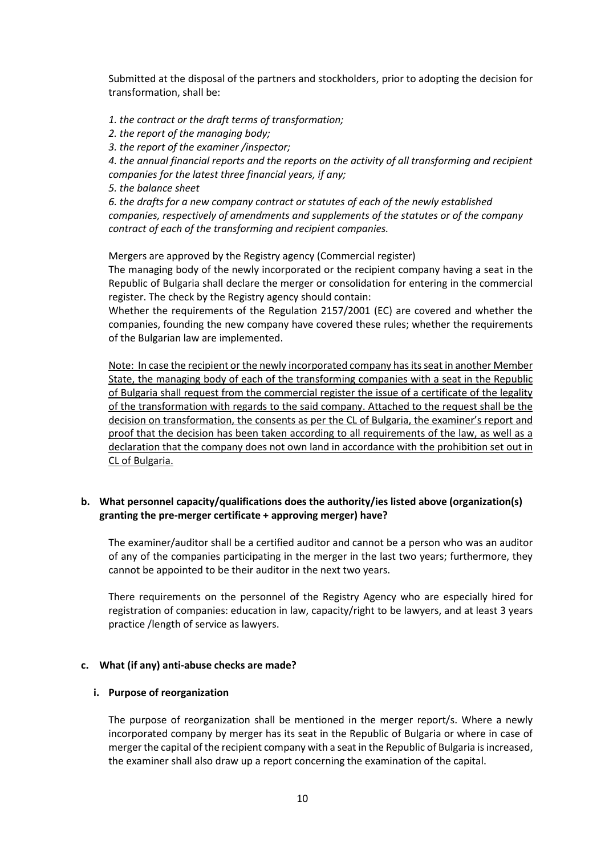Submitted at the disposal of the partners and stockholders, prior to adopting the decision for transformation, shall be:

*1. the contract or the draft terms of transformation;*

- *2. the report of the managing body;*
- *3. the report of the examiner /inspector;*

*4. the annual financial reports and the reports on the activity of all transforming and recipient companies for the latest three financial years, if any;*

*5. the balance sheet*

*6. the drafts for a new company contract or statutes of each of the newly established companies, respectively of amendments and supplements of the statutes or of the company contract of each of the transforming and recipient companies.*

Mergers are approved by the Registry agency (Commercial register)

The managing body of the newly incorporated or the recipient company having a seat in the Republic of Bulgaria shall declare the merger or consolidation for entering in the commercial register. The check by the Registry agency should contain:

Whether the requirements of the Regulation 2157/2001 (EC) are covered and whether the companies, founding the new company have covered these rules; whether the requirements of the Bulgarian law are implemented.

Note: In case the recipient or the newly incorporated company has its seat in another Member State, the managing body of each of the transforming companies with a seat in the Republic of Bulgaria shall request from the commercial register the issue of a certificate of the legality of the transformation with regards to the said company. Attached to the request shall be the decision on transformation, the consents as per the CL of Bulgaria, the examiner's report and proof that the decision has been taken according to all requirements of the law, as well as a declaration that the company does not own land in accordance with the prohibition set out in CL of Bulgaria.

# **b. What personnel capacity/qualifications does the authority/ies listed above (organization(s) granting the pre-merger certificate + approving merger) have?**

The examiner/auditor shall be a certified auditor and cannot be a person who was an auditor of any of the companies participating in the merger in the last two years; furthermore, they cannot be appointed to be their auditor in the next two years.

There requirements on the personnel of the Registry Agency who are especially hired for registration of companies: education in law, capacity/right to be lawyers, and at least 3 years practice /length of service as lawyers.

#### **c. What (if any) anti-abuse checks are made?**

#### **i. Purpose of reorganization**

The purpose of reorganization shall be mentioned in the merger report/s. Where a newly incorporated company by merger has its seat in the Republic of Bulgaria or where in case of merger the capital of the recipient company with a seat in the Republic of Bulgaria is increased, the examiner shall also draw up a report concerning the examination of the capital.